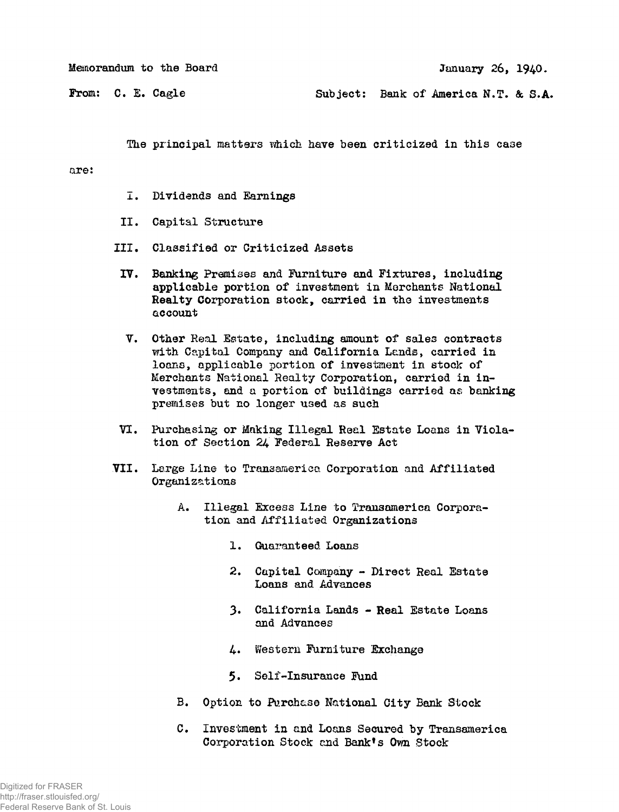**January 26, 1940.** 

**From: C. E. Cagle** 

**Subject: Bank of America N.T. & S.A.** 

The principal matters which have been criticized in this case

## **are:**

- **I . Dividends and Earnings**
- **I I . Capital Structure**
- **III . Classified or Criticize d Assets**
- **I V. Banking Premises and Furniture and Fixtures, including applicable portion of investment i n Merchants National**  Realty Corporation stock, carried in the investments **account**
- **V. Other Real Estate, including amount of sales contracts**  with Capital Company and California Lands, carried in loans, applicable portion of investment in stock of Merchants National Realty Corporation, carried in in**vestments, and a portion of buildings carried as banking premises but no longer used as such**
- VI. Purchasing or Making Illegal Real Estate Loans in Viola**tion of Section 24 Federal Reserve Act**
- **VII . Large Line to Transamerica Corporation and Affiliate d Organizations** 
	- **A. Illegal Excess Line to Transamerica Corporatio n and Affiliate d Organizations** 
		- **1. Guaranteed Loans**
		- **2. Capital Company Direct Real Estate Loans and Advances**
		- **3. Californi a Lands Real Estate Loans and Advances**
		- **4\* Western Furniture Exchange**
		- **5. Self-Insurance Fund**
	- **B.** Option to Purchase National City Bank Stock
	- **C. Investment i n and Loans Secured by Transamerica Corporation Stock and Bank<sup>1</sup> s Own Stock**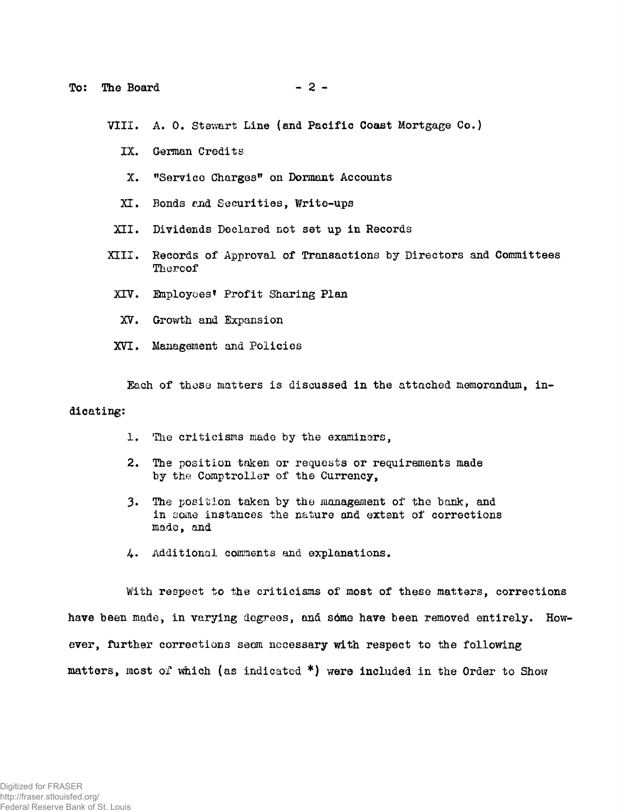VIII. A. O. Stewart Line (and Pacific Coast Mortgage Co.)

- IX. German Credits
- X. "Service Charges" on Dormant Accounts
- XI. Bonds and Securities, Write-ups
- XII. Dividends Declared not set up in Records
- XIII. Records of Approval of Transactions by Directors and Committees Thereof
- XIV. Employees' Profit Sharing Plan
	- XV. Growth and Expansion
- XVI. Management and Policies

Each of these matters is discussed in the attached memorandum, in-

## dicating:

- 1. The criticisms made by the examiners,
- 2. The position taken or requests or requirements made by the Comptroller of the Currency,
- 3. The position taken by the management of the bank, and in some instances the nature and extent of corrections made, and
- 4. Additional comments and explanations.

With respect to the criticisms of most of these matters, corrections have been made, in varying degrees, and some have been removed entirely. However, further corrections seem necessary with respect to the following matters, most of which (as indicated  $*$ ) were included in the Order to Show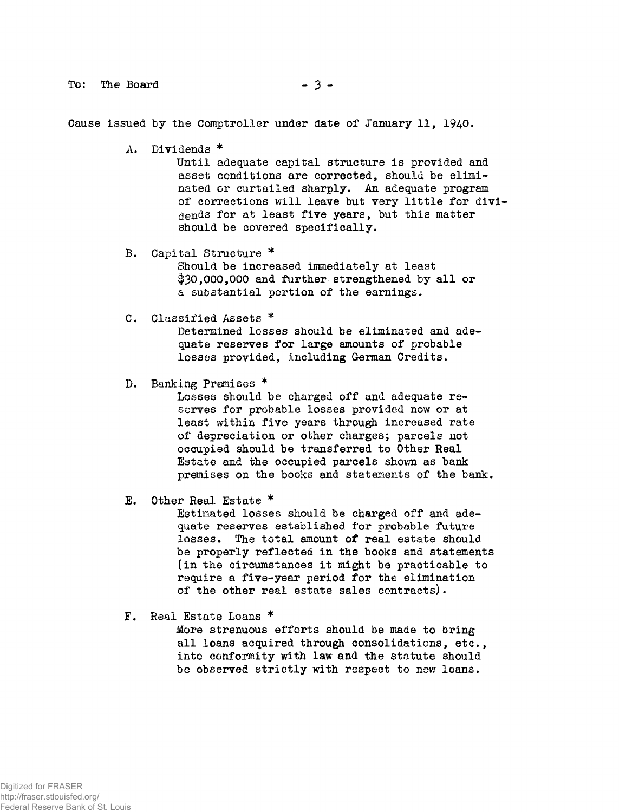**To:** The Board - 3 -

Cause issued by the Comptroller under date of January 11, 1940.

A. Dividends \*

Until adequate capital structure is provided and asset conditions are corrected, should be eliminated or curtailed sharply. An adequate program of corrections will leave but very little for dividends for at least five years, but this matter should be covered specifically.

B. Capital Structure \*

Should be increased immediately at least \$30,000,000 and further strengthened by all or a substantial portion of the earnings.

C. Classified Assets  $*$ 

Determined losses should be eliminated and adequate reserves for large amounts of probable losses provided, including German Credits.

D. Banking Premises \*

Losses should be charged off and adequate  $re$ serves for probable losses provided now or at least within five years through increased rate of depreciation or other charges; parcels not occupied should be transferred to Other Real Estate and the occupied parcels shown as bank premises on the books and statements of the bank.

E. Other Real Estate \*

Estimated losses should be charged off and adequate reserves established for probable future losses. The total amount of real estate should be properly reflected in the books and statements (in the circumstances it might be practicable to require a five-year period for the elimination of the other real estate sales contracts).

F. Real Estate Loans \*

More strenuous efforts should be made to bring all loans acquired through consolidations, etc., into conformity with law and the statute should be observed strictly with respect to new loans.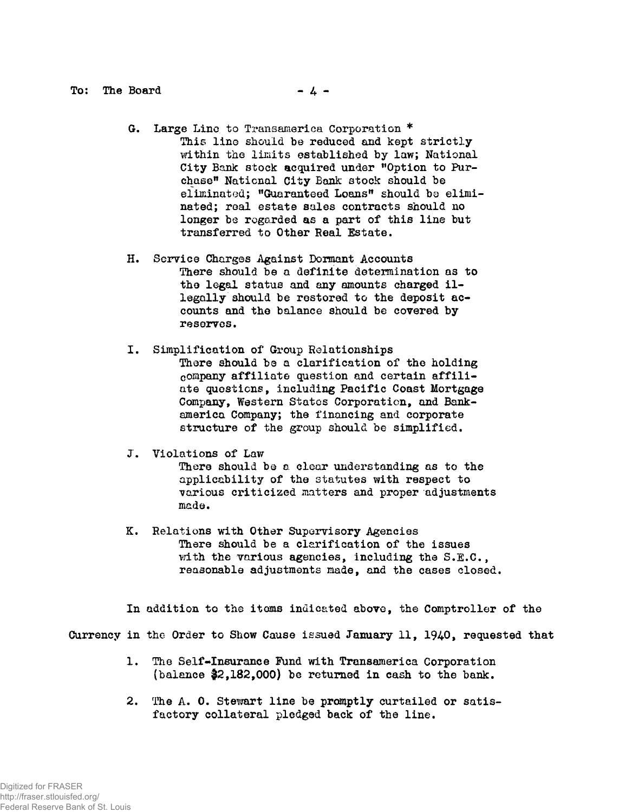- **G. Large Lino to Transamerica Corporation \***  This line should be reduced and kept strictly within the limits established by law; National **City Bank stock acquired under "Option to Purchase<sup>11</sup> National City Bank stock should be eliminated; "Guaranteed Loans" should bo eliminated; rea l estate sales contracts should no longer be regarded as a part of this line but transferred to Other Real Estate.**
- **H. Service Charges Against Dormant Accounts There should be a definite determination as to the legal status and any amounts charged il**  legally should be restored to the deposit ac**counts and the balance should be covered by reserves.**
- **I . Simplification of Group Relationships**  There should be a clarification of the holding **company affiliat e question and certain affili ate questions, including Pacific Coast Mortgage Company, Western States Corporation, and Bankam erica Company; the financing and corporate structure of the group should be simplified.**
- **J. Violations of Law**

**There should be a clear understanding as to the**  applicability of the statutes with respect to various criticized matters and proper adjustments **made.** 

**K. Relations with Other Supervisory Agencies**  There should be a clarification of the issues **with the various agencies, including the S.E.C., reasonable adjustments made, and the cases closed.** 

**I n addition to the items indicated above, the Comptroller of the Currency i n the Order to Show Cause issued January 11, 1940, requested that** 

- **1. The Self-Insurance Fund with Transamerica Corporation**  (balance \$2,182,000) be returned in cash to the bank.
- **2. The A. 0. Stewart line be promptly curtailed or satis**factory collateral pledged back of the line.